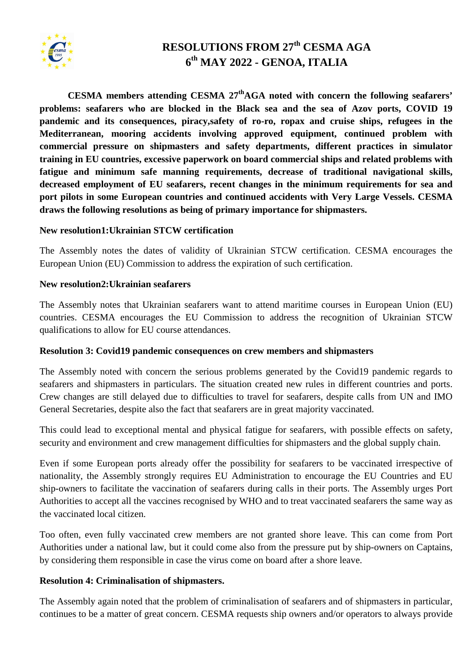

# **RESOLUTIONS FROM 27th CESMA AGA 6 th MAY 2022 - GENOA, ITALIA**

**CESMA members attending CESMA 27thAGA noted with concern the following seafarers' problems: seafarers who are blocked in the Black sea and the sea of Azov ports, COVID 19 pandemic and its consequences, piracy,safety of ro-ro, ropax and cruise ships, refugees in the Mediterranean, mooring accidents involving approved equipment, continued problem with commercial pressure on shipmasters and safety departments, different practices in simulator training in EU countries, excessive paperwork on board commercial ships and related problems with fatigue and minimum safe manning requirements, decrease of traditional navigational skills, decreased employment of EU seafarers, recent changes in the minimum requirements for sea and port pilots in some European countries and continued accidents with Very Large Vessels. CESMA draws the following resolutions as being of primary importance for shipmasters.**

#### **New resolution1:Ukrainian STCW certification**

The Assembly notes the dates of validity of Ukrainian STCW certification. CESMA encourages the European Union (EU) Commission to address the expiration of such certification.

#### **New resolution2:Ukrainian seafarers**

The Assembly notes that Ukrainian seafarers want to attend maritime courses in European Union (EU) countries. CESMA encourages the EU Commission to address the recognition of Ukrainian STCW qualifications to allow for EU course attendances.

### **Resolution 3: Covid19 pandemic consequences on crew members and shipmasters**

The Assembly noted with concern the serious problems generated by the Covid19 pandemic regards to seafarers and shipmasters in particulars. The situation created new rules in different countries and ports. Crew changes are still delayed due to difficulties to travel for seafarers, despite calls from UN and IMO General Secretaries, despite also the fact that seafarers are in great majority vaccinated.

This could lead to exceptional mental and physical fatigue for seafarers, with possible effects on safety, security and environment and crew management difficulties for shipmasters and the global supply chain.

Even if some European ports already offer the possibility for seafarers to be vaccinated irrespective of nationality, the Assembly strongly requires EU Administration to encourage the EU Countries and EU ship-owners to facilitate the vaccination of seafarers during calls in their ports. The Assembly urges Port Authorities to accept all the vaccines recognised by WHO and to treat vaccinated seafarers the same way as the vaccinated local citizen.

Too often, even fully vaccinated crew members are not granted shore leave. This can come from Port Authorities under a national law, but it could come also from the pressure put by ship-owners on Captains, by considering them responsible in case the virus come on board after a shore leave.

### **Resolution 4: Criminalisation of shipmasters.**

The Assembly again noted that the problem of criminalisation of seafarers and of shipmasters in particular, continues to be a matter of great concern. CESMA requests ship owners and/or operators to always provide